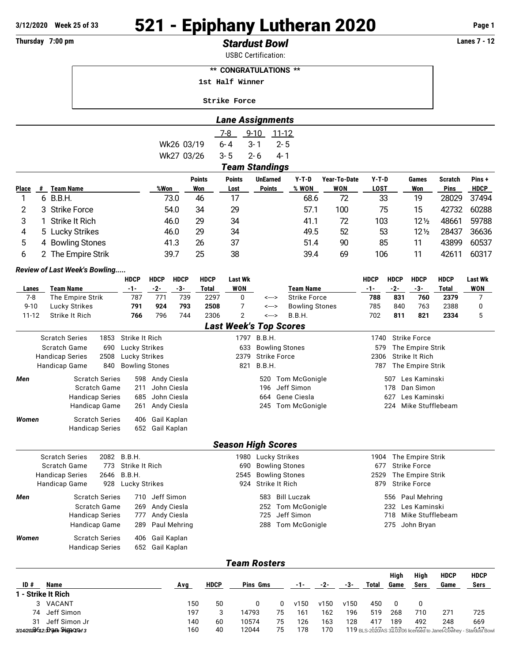# **3/12/2020 Week 25 of 33 521 - Epiphany Lutheran 2020 Page 1**

## **Thursday 7:00 pm** *Stardust Bowl* **Lanes 7 - 12**

USBC Certification:

| <b>** CONGRATULATIONS **</b> |  |
|------------------------------|--|
| 1st Half Winner              |  |
| <b>Strike Force</b>          |  |

|                                                 |                       |                                               |             |                          |                                |                     |                      | <b>Lane Assignments</b>       |                    |           |                                         |                  |                                         |              |                                         |                      |                 |  |
|-------------------------------------------------|-----------------------|-----------------------------------------------|-------------|--------------------------|--------------------------------|---------------------|----------------------|-------------------------------|--------------------|-----------|-----------------------------------------|------------------|-----------------------------------------|--------------|-----------------------------------------|----------------------|-----------------|--|
|                                                 |                       |                                               |             |                          |                                |                     |                      | $7 - 8$                       | $9 - 10$           | $11 - 12$ |                                         |                  |                                         |              |                                         |                      |                 |  |
|                                                 |                       |                                               |             |                          |                                | Wk26 03/19          |                      | $6 - 4$                       | $3 - 1$            | $2 - 5$   |                                         |                  |                                         |              |                                         |                      |                 |  |
|                                                 |                       |                                               |             |                          |                                | Wk27 03/26          |                      | $3 - 5$                       | $2 - 6$            | 4-1       |                                         |                  |                                         |              |                                         |                      |                 |  |
|                                                 |                       |                                               |             |                          |                                |                     |                      | <b>Team Standings</b>         |                    |           |                                         |                  |                                         |              |                                         |                      |                 |  |
|                                                 |                       |                                               |             |                          |                                |                     | <b>Points</b>        | <b>Points</b>                 | <b>UnEarned</b>    |           | $Y-T-D$                                 | Year-To-Date     | $Y-T-D$                                 |              | Games                                   | Scratch              | Pins+           |  |
| Place                                           | #                     | <b>Team Name</b>                              |             |                          | %Won                           |                     | Won                  | Lost                          | <b>Points</b>      |           | % WON                                   | <b>WON</b>       | <b>LOST</b>                             |              | Won                                     | <b>Pins</b>          | <b>HDCP</b>     |  |
| 1                                               |                       | 6 B.B.H.                                      |             |                          |                                | 73.0                | 46                   | 17                            |                    |           | 68.6                                    | 72               |                                         | 33           | 19                                      | 28029                | 37494           |  |
| 2                                               | 3                     | <b>Strike Force</b>                           |             |                          |                                | 54.0                | 34                   | 29                            |                    |           | 57.1                                    | 100              |                                         | 75           | 15                                      | 42732                | 60288           |  |
| 3                                               | 1                     | Strike It Rich                                |             |                          |                                | 46.0                | 29                   | 34                            |                    |           | 41.1                                    | 72               | 103                                     |              | $12\frac{1}{2}$                         | 48661                | 59788           |  |
| 4                                               |                       | 5 Lucky Strikes                               |             |                          |                                | 46.0                | 29                   | 34                            |                    |           | 49.5                                    | 52               |                                         | 53           | $12\frac{1}{2}$                         | 28437                | 36636           |  |
| 5                                               |                       | 4 Bowling Stones                              |             |                          |                                | 41.3                | 26                   | 37                            |                    |           | 51.4                                    | 90               |                                         | 85           | 11                                      | 43899                | 60537           |  |
| 6                                               | $\mathbf{2}^{\prime}$ | The Empire Strik                              |             |                          |                                | 39.7                | 25                   | 38                            |                    |           | 39.4                                    | 69               | 106                                     |              | 11                                      | 42611                | 60317           |  |
|                                                 |                       | Review of Last Week's Bowling                 |             |                          |                                |                     |                      |                               |                    |           |                                         |                  |                                         |              |                                         |                      |                 |  |
|                                                 |                       |                                               |             | <b>HDCP</b>              | <b>HDCP</b>                    | <b>HDCP</b>         | <b>HDCP</b>          | <b>Last Wk</b>                |                    |           |                                         |                  | <b>HDCP</b>                             | <b>HDCP</b>  | <b>HDCP</b>                             | <b>HDCP</b>          | <b>Last Wk</b>  |  |
| Lanes<br>$7 - 8$                                |                       | <b>Team Name</b><br>The Empire Strik          |             | $-1-$<br>787             | $-2-$<br>771                   | $-3-$<br>739        | <b>Total</b><br>2297 | <b>WON</b><br>0               |                    | <--->     | <b>Team Name</b><br><b>Strike Force</b> |                  | $-1-$<br>788                            | $-2-$<br>831 | $-3-$<br>760                            | <b>Total</b><br>2379 | <b>WON</b><br>7 |  |
| $9 - 10$                                        |                       | Lucky Strikes                                 |             | 791                      | 924                            | 793                 | 2508                 | 7                             |                    | <--->     | <b>Bowling Stones</b>                   |                  | 785                                     | 840          | 763                                     | 2388                 | 0               |  |
| $11 - 12$                                       |                       | Strike It Rich                                |             | 766                      | 796                            | 744                 | 2306                 | $\overline{2}$                |                    | <--->     | B.B.H.                                  |                  | 702                                     | 811          | 821                                     | 2334                 | 5               |  |
|                                                 |                       |                                               |             |                          |                                |                     |                      | <b>Last Week's Top Scores</b> |                    |           |                                         |                  |                                         |              |                                         |                      |                 |  |
|                                                 |                       | <b>Scratch Series</b>                         | 1853        | Strike It Rich           |                                |                     |                      |                               | 1797 B.B.H.        |           |                                         |                  | 1740                                    |              | <b>Strike Force</b>                     |                      |                 |  |
| Scratch Game<br>690<br>Lucky Strikes            |                       |                                               |             |                          | 633                            |                     |                      | <b>Bowling Stones</b>         |                    | 579       |                                         | The Empire Strik |                                         |              |                                         |                      |                 |  |
| 2508<br>Lucky Strikes<br><b>Handicap Series</b> |                       |                                               |             |                          | 2379                           | <b>Strike Force</b> |                      |                               |                    | 2306      |                                         | Strike It Rich   |                                         |              |                                         |                      |                 |  |
|                                                 |                       | Handicap Game                                 | 840         | <b>Bowling Stones</b>    |                                |                     |                      | 821                           | B.B.H.             |           |                                         |                  | 787                                     |              | The Empire Strik                        |                      |                 |  |
| Men                                             |                       | <b>Scratch Series</b>                         |             |                          | 598 Andy Ciesla                |                     |                      |                               | 520                |           | Tom McGonigle                           |                  |                                         |              | 507   Les Kaminski                      |                      |                 |  |
|                                                 |                       | <b>Scratch Game</b><br><b>Handicap Series</b> |             | 211<br>685               | John Ciesla<br>John Ciesla     |                     |                      |                               | 196<br>664         |           | Jeff Simon<br>Gene Ciesla               |                  | Dan Simon<br>178<br>Les Kaminski<br>627 |              |                                         |                      |                 |  |
|                                                 |                       | Handicap Game                                 |             | 261                      | Andy Ciesla                    |                     |                      |                               |                    |           | 245 Tom McGonigle                       |                  |                                         | 224          | Mike Stufflebeam                        |                      |                 |  |
| Women                                           |                       | <b>Scratch Series</b>                         |             | 406                      |                                |                     |                      |                               |                    |           |                                         |                  |                                         |              |                                         |                      |                 |  |
|                                                 |                       | <b>Handicap Series</b>                        |             |                          | Gail Kaplan<br>652 Gail Kaplan |                     |                      |                               |                    |           |                                         |                  |                                         |              |                                         |                      |                 |  |
|                                                 |                       |                                               |             |                          |                                |                     |                      |                               |                    |           |                                         |                  |                                         |              |                                         |                      |                 |  |
|                                                 |                       |                                               |             |                          |                                |                     |                      | <b>Season High Scores</b>     |                    |           |                                         |                  |                                         |              |                                         |                      |                 |  |
|                                                 |                       | <b>Scratch Series</b>                         | 2082        | B.B.H.                   |                                |                     |                      |                               | 1980 Lucky Strikes |           |                                         |                  | 1904                                    |              | The Empire Strik                        |                      |                 |  |
|                                                 |                       | Scratch Game                                  | 773<br>2646 | Strike It Rich<br>B.B.H. |                                |                     |                      | 690<br>2545                   |                    |           | <b>Bowling Stones</b>                   |                  | 677<br>2529                             |              | <b>Strike Force</b><br>The Empire Strik |                      |                 |  |
|                                                 |                       | Handicap Series<br>Handicap Game              | 928         | Lucky Strikes            |                                |                     |                      | 924                           | Strike It Rich     |           | <b>Bowling Stones</b>                   |                  | 879                                     |              | <b>Strike Force</b>                     |                      |                 |  |
| Men                                             |                       | <b>Scratch Series</b>                         |             | 710                      | Jeff Simon                     |                     |                      |                               | 583                |           | <b>Bill Luczak</b>                      |                  |                                         |              | 556 Paul Mehring                        |                      |                 |  |
|                                                 |                       | <b>Scratch Game</b>                           |             | 269                      | Andy Ciesla                    |                     |                      |                               | 252                |           | Tom McGonigle                           |                  |                                         | 232          | Les Kaminski                            |                      |                 |  |
|                                                 |                       | <b>Handicap Series</b>                        |             | 777                      | Andy Ciesla                    |                     |                      |                               | 725                |           | Jeff Simon                              |                  |                                         | 718          | Mike Stufflebeam                        |                      |                 |  |
|                                                 |                       | <b>Handicap Game</b>                          |             | 289                      |                                | Paul Mehring        |                      |                               | 288                |           | Tom McGonigle                           |                  |                                         |              | 275 John Bryan                          |                      |                 |  |
| Women                                           |                       | <b>Scratch Series</b>                         |             | 406                      | Gail Kaplan                    |                     |                      |                               |                    |           |                                         |                  |                                         |              |                                         |                      |                 |  |
|                                                 |                       | <b>Handicap Series</b>                        |             |                          | 652 Gail Kaplan                |                     |                      |                               |                    |           |                                         |                  |                                         |              |                                         |                      |                 |  |
|                                                 |                       |                                               |             |                          |                                |                     |                      | <b>Team Rosters</b>           |                    |           |                                         |                  |                                         |              |                                         |                      |                 |  |
|                                                 |                       |                                               |             |                          |                                |                     |                      |                               |                    |           |                                         |                  |                                         | High         | High                                    | <b>HDCP</b>          | <b>HDCP</b>     |  |
|                                                 |                       |                                               |             |                          |                                |                     |                      |                               |                    |           |                                         |                  |                                         |              |                                         |                      |                 |  |

| ID# | Name<br>1 - Strike It Rich       | Ava | HDCP | Pins Gms |    |      | $-2-$ | -3-  | Total | High<br>Game | High<br>Sers | HDCP<br>Game | HDCP<br>Sers                                                      |
|-----|----------------------------------|-----|------|----------|----|------|-------|------|-------|--------------|--------------|--------------|-------------------------------------------------------------------|
|     | VACANT                           | 150 | 50   |          |    | v150 | v150  | v150 | 450   |              |              |              |                                                                   |
|     | 74 Jeff Simon                    | 197 |      | 14793    | 75 | 161  | 162   | 196  | 519   | 268          | 710          | 271          | 725                                                               |
| 31  | Jeff Simon Jr                    | 140 | 60   | 10574    | 75 | 126  | 163   | 128  | 417   | 189          | 492          | 248          | 669                                                               |
|     | 3/14/2020612: Drawn Sringeonof 3 | 160 | 40   | 12044    | 75 | 178  | 170   |      |       |              |              |              | 119 BLS-2020/AS 32.03.06 licensed to Janet.Cowhey - Stardust Bowl |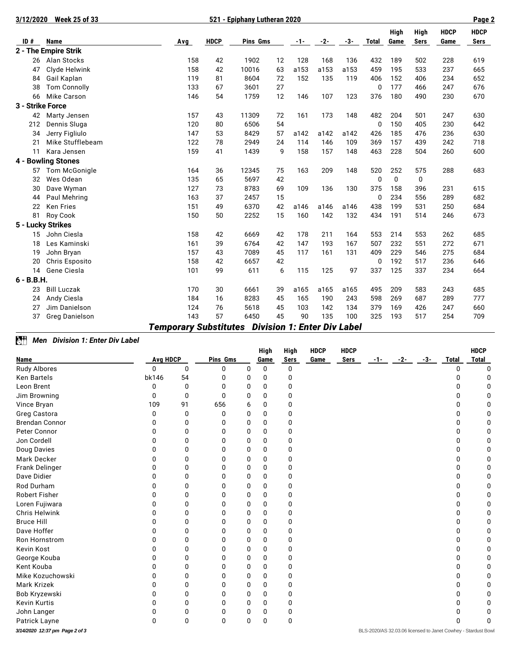| 3/12/2020        | <b>Week 25 of 33</b>  |     |             |          |     | Page 2 |      |              |             |             |      |             |             |
|------------------|-----------------------|-----|-------------|----------|-----|--------|------|--------------|-------------|-------------|------|-------------|-------------|
|                  |                       |     |             |          |     |        |      |              |             | <b>High</b> | High | <b>HDCP</b> | <b>HDCP</b> |
| ID#              | <b>Name</b>           | Avg | <b>HDCP</b> | Pins Gms | -1- | -2-    | -3-  | <b>Total</b> | Game        | <b>Sers</b> | Game | Sers        |             |
|                  | 2 - The Empire Strik  |     |             |          |     |        |      |              |             |             |      |             |             |
| 26               | Alan Stocks           | 158 | 42          | 1902     | 12  | 128    | 168  | 136          | 432         | 189         | 502  | 228         | 619         |
| 47               | Clyde Helwink         | 158 | 42          | 10016    | 63  | a153   | a153 | a153         | 459         | 195         | 533  | 237         | 665         |
| 84               | Gail Kaplan           | 119 | 81          | 8604     | 72  | 152    | 135  | 119          | 406         | 152         | 406  | 234         | 652         |
| 38               | <b>Tom Connolly</b>   | 133 | 67          | 3601     | 27  |        |      |              | 0           | 177         | 466  | 247         | 676         |
| 66               | <b>Mike Carson</b>    | 146 | 54          | 1759     | 12  | 146    | 107  | 123          | 376         | 180         | 490  | 230         | 670         |
| 3 - Strike Force |                       |     |             |          |     |        |      |              |             |             |      |             |             |
| 42               | Marty Jensen          | 157 | 43          | 11309    | 72  | 161    | 173  | 148          | 482         | 204         | 501  | 247         | 630         |
| 212              | Dennis Sluga          | 120 | 80          | 6506     | 54  |        |      |              | 0           | 150         | 405  | 230         | 642         |
| 34               | Jerry Figliulo        | 147 | 53          | 8429     | 57  | a142   | a142 | a142         | 426         | 185         | 476  | 236         | 630         |
| 21               | Mike Stufflebeam      | 122 | 78          | 2949     | 24  | 114    | 146  | 109          | 369         | 157         | 439  | 242         | 718         |
| 11               | Kara Jensen           | 159 | 41          | 1439     | 9   | 158    | 157  | 148          | 463         | 228         | 504  | 260         | 600         |
|                  | 4 - Bowling Stones    |     |             |          |     |        |      |              |             |             |      |             |             |
| 57               | <b>Tom McGonigle</b>  | 164 | 36          | 12345    | 75  | 163    | 209  | 148          | 520         | 252         | 575  | 288         | 683         |
| 32               | Wes Odean             | 135 | 65          | 5697     | 42  |        |      |              | $\mathbf 0$ | 0           | 0    |             |             |
| 30               | Dave Wyman            | 127 | 73          | 8783     | 69  | 109    | 136  | 130          | 375         | 158         | 396  | 231         | 615         |
| 44               | Paul Mehring          | 163 | 37          | 2457     | 15  |        |      |              | $\mathbf 0$ | 234         | 556  | 289         | 682         |
| 22               | <b>Ken Fries</b>      | 151 | 49          | 6370     | 42  | a146   | a146 | a146         | 438         | 199         | 531  | 250         | 684         |
| 81               | Roy Cook              | 150 | 50          | 2252     | 15  | 160    | 142  | 132          | 434         | 191         | 514  | 246         | 673         |
|                  | 5 - Lucky Strikes     |     |             |          |     |        |      |              |             |             |      |             |             |
| 15               | John Ciesla           | 158 | 42          | 6669     | 42  | 178    | 211  | 164          | 553         | 214         | 553  | 262         | 685         |
| 18               | Les Kaminski          | 161 | 39          | 6764     | 42  | 147    | 193  | 167          | 507         | 232         | 551  | 272         | 671         |
| 19               | John Bryan            | 157 | 43          | 7089     | 45  | 117    | 161  | 131          | 409         | 229         | 546  | 275         | 684         |
| 20               | <b>Chris Esposito</b> | 158 | 42          | 6657     | 42  |        |      |              | 0           | 192         | 517  | 236         | 646         |
| 14               | Gene Ciesla           | 101 | 99          | 611      | 6   | 115    | 125  | 97           | 337         | 125         | 337  | 234         | 664         |
| $6 - B.B.H.$     |                       |     |             |          |     |        |      |              |             |             |      |             |             |
| 23               | <b>Bill Luczak</b>    | 170 | 30          | 6661     | 39  | a165   | a165 | a165         | 495         | 209         | 583  | 243         | 685         |
| 24               | Andy Ciesla           | 184 | 16          | 8283     | 45  | 165    | 190  | 243          | 598         | 269         | 687  | 289         | 777         |
| 27               | Jim Danielson         | 124 | 76          | 5618     | 45  | 103    | 142  | 134          | 379         | 169         | 426  | 247         | 660         |
| 37               | <b>Greg Danielson</b> | 143 | 57          | 6450     | 45  | 90     | 135  | 100<br>. .   | 325         | 193         | 517  | 254         | 709         |

### *Temporary Substitutes Division 1: Enter Div Label*

### *Men Division 1: Enter Div Label*

|                                |                 |              |              |   | High | <b>High</b> | <b>HDCP</b> | <b>HDCP</b> |       |       |       |              | <b>HDCP</b>                                                  |
|--------------------------------|-----------------|--------------|--------------|---|------|-------------|-------------|-------------|-------|-------|-------|--------------|--------------------------------------------------------------|
| Name                           | <b>Avg HDCP</b> |              | Pins Gms     |   | Game | Sers        | Game        | <b>Sers</b> | $-1-$ | $-2-$ | $-3-$ | <b>Total</b> | <b>Total</b>                                                 |
| Rudy Albores                   | 0               | 0            | O            | 0 | 0    | 0           |             |             |       |       |       | 0            | O                                                            |
| <b>Ken Bartels</b>             | bk146           | 54           | O            | 0 | 0    | 0           |             |             |       |       |       | O            | U                                                            |
| Leon Brent                     | <sup>0</sup>    | $\Omega$     | O            | 0 | 0    | 0           |             |             |       |       |       | 0            |                                                              |
| Jim Browning                   | 0               | $\Omega$     | <sup>0</sup> | 0 | 0    | 0           |             |             |       |       |       | 0            |                                                              |
| Vince Bryan                    | 109             | 91           | 656          | 6 | 0    | 0           |             |             |       |       |       | 0            |                                                              |
| Greg Castora                   | 0               | 0            | 0            | 0 | 0    | 0           |             |             |       |       |       | 0            |                                                              |
| <b>Brendan Connor</b>          | O               | 0            | O            | 0 | 0    | 0           |             |             |       |       |       | 0            |                                                              |
| Peter Connor                   |                 | 0            | 0            | 0 | 0    | 0           |             |             |       |       |       | 0            |                                                              |
| Jon Cordell                    |                 | O            |              | 0 | 0    | 0           |             |             |       |       |       | 0            |                                                              |
| Doug Davies                    |                 | O            |              | U | 0    | O           |             |             |       |       |       | 0            |                                                              |
| Mark Decker                    |                 | ŋ            |              | 0 | 0    | 0           |             |             |       |       |       | 0            |                                                              |
| Frank Delinger                 |                 | 0            | O            | 0 | 0    | 0           |             |             |       |       |       | 0            |                                                              |
| Dave Didier                    |                 | 0            | n            | 0 | 0    | 0           |             |             |       |       |       | 0            |                                                              |
| Rod Durham                     |                 | <sup>0</sup> |              | 0 | 0    | 0           |             |             |       |       |       | O            |                                                              |
| <b>Robert Fisher</b>           |                 | 0            | n            | 0 | 0    | 0           |             |             |       |       |       | 0            |                                                              |
| Loren Fujiwara                 |                 | 0            |              | 0 | 0    | 0           |             |             |       |       |       | 0            |                                                              |
| <b>Chris Helwink</b>           |                 | 0            | n            | 0 | 0    | 0           |             |             |       |       |       | 0            |                                                              |
| <b>Bruce Hill</b>              |                 | 0            | n            | 0 | 0    | 0           |             |             |       |       |       | 0            |                                                              |
| Dave Hoffer                    |                 | 0            |              | 0 | 0    | 0           |             |             |       |       |       | O            |                                                              |
| Ron Hornstrom                  |                 | <sup>0</sup> |              | 0 | 0    | 0           |             |             |       |       |       | 0            |                                                              |
| Kevin Kost                     |                 | U            |              | U | 0    | 0           |             |             |       |       |       | 0            |                                                              |
| George Kouba                   |                 | Ω            |              | 0 | 0    | 0           |             |             |       |       |       | 0            |                                                              |
| Kent Kouba                     | O               | <sup>0</sup> | O            | 0 | 0    | 0           |             |             |       |       |       | 0            |                                                              |
| Mike Kozuchowski               |                 | 0            |              | 0 | 0    | 0           |             |             |       |       |       | 0            |                                                              |
| <b>Mark Krizek</b>             |                 | 0            |              | 0 | 0    | 0           |             |             |       |       |       | 0            |                                                              |
| Bob Kryzewski                  |                 | 0            |              | 0 | 0    | 0           |             |             |       |       |       | 0            |                                                              |
| <b>Kevin Kurtis</b>            |                 | 0            | O            | 0 | 0    | 0           |             |             |       |       |       | 0            |                                                              |
| John Langer                    | O               | 0            | 0            | 0 | 0    | 0           |             |             |       |       |       | o            |                                                              |
| Patrick Layne                  | 0               | 0            | 0            | 0 | 0    | 0           |             |             |       |       |       | በ            |                                                              |
| 3/14/2020 12:37 pm Page 2 of 3 |                 |              |              |   |      |             |             |             |       |       |       |              | BLS-2020/AS 32.03.06 licensed to Janet Cowhey - Stardust Bow |